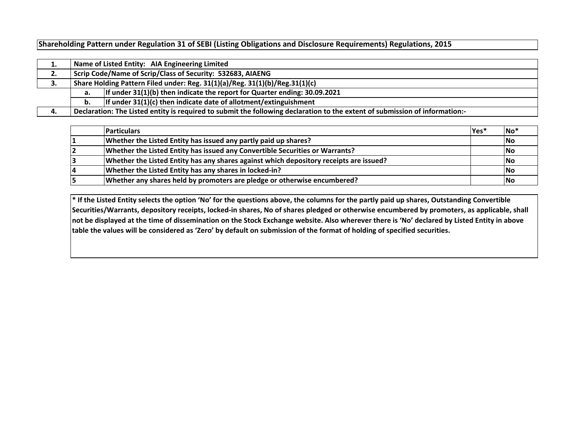**Shareholding Pattern under Regulation 31 of SEBI (Listing Obligations and Disclosure Requirements) Regulations, 2015**

|    |                                                                             | Name of Listed Entity: AIA Engineering Limited                                                                              |  |  |  |  |  |  |  |  |  |  |  |
|----|-----------------------------------------------------------------------------|-----------------------------------------------------------------------------------------------------------------------------|--|--|--|--|--|--|--|--|--|--|--|
| Ζ. | Scrip Code/Name of Scrip/Class of Security: 532683, AIAENG                  |                                                                                                                             |  |  |  |  |  |  |  |  |  |  |  |
| з. | Share Holding Pattern Filed under: Reg. 31(1)(a)/Reg. 31(1)(b)/Reg.31(1)(c) |                                                                                                                             |  |  |  |  |  |  |  |  |  |  |  |
|    | а.                                                                          | If under $31(1)(b)$ then indicate the report for Quarter ending: 30.09.2021                                                 |  |  |  |  |  |  |  |  |  |  |  |
|    |                                                                             | If under $31(1)(c)$ then indicate date of allotment/extinguishment                                                          |  |  |  |  |  |  |  |  |  |  |  |
| 4. |                                                                             | Declaration: The Listed entity is required to submit the following declaration to the extent of submission of information:- |  |  |  |  |  |  |  |  |  |  |  |

|    | <b>Particulars</b>                                                                     | Yes* | No <sup>*</sup> |
|----|----------------------------------------------------------------------------------------|------|-----------------|
|    | Whether the Listed Entity has issued any partly paid up shares?                        |      | <b>No</b>       |
|    | Whether the Listed Entity has issued any Convertible Securities or Warrants?           |      | No              |
|    | Whether the Listed Entity has any shares against which depository receipts are issued? |      | No              |
| 14 | Whether the Listed Entity has any shares in locked-in?                                 |      | <b>INo</b>      |
|    | Whether any shares held by promoters are pledge or otherwise encumbered?               |      | No              |

**\* If the Listed Entity selects the option 'No' for the questions above, the columns for the partly paid up shares, Outstanding Convertible Securities/Warrants, depository receipts, locked-in shares, No of shares pledged or otherwise encumbered by promoters, as applicable, shall not be displayed at the time of dissemination on the Stock Exchange website. Also wherever there is 'No' declared by Listed Entity in above table the values will be considered as 'Zero' by default on submission of the format of holding of specified securities.**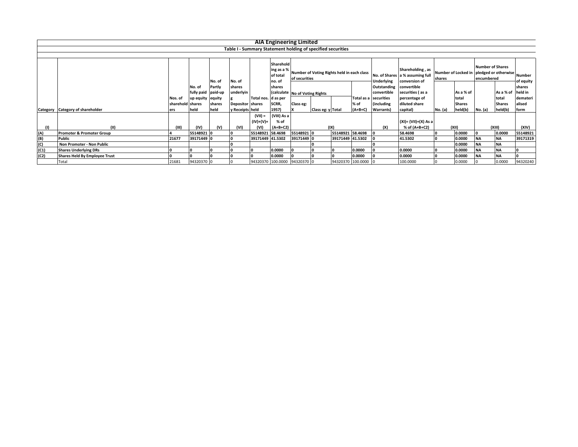|      |                                      |                  |                              |        |                         |                        |                                               | <b>AIA Engineering Limited</b>                              |                                |                                            |                     |                            |                                                                      |         |               |                                       |                                                              |                   |
|------|--------------------------------------|------------------|------------------------------|--------|-------------------------|------------------------|-----------------------------------------------|-------------------------------------------------------------|--------------------------------|--------------------------------------------|---------------------|----------------------------|----------------------------------------------------------------------|---------|---------------|---------------------------------------|--------------------------------------------------------------|-------------------|
|      |                                      |                  |                              |        |                         |                        |                                               | Table I - Summary Statement holding of specified securities |                                |                                            |                     |                            |                                                                      |         |               |                                       |                                                              |                   |
|      |                                      |                  |                              |        |                         |                        |                                               |                                                             |                                |                                            |                     |                            |                                                                      |         |               |                                       |                                                              |                   |
|      |                                      |                  |                              | No. of | No. of                  |                        | Sharehold<br>ing as a %<br>of total<br>no. of | of securities                                               |                                | Number of Voting Rights held in each class |                     | Underlying                 | Shareholding, as<br>No. of Shares a % assuming full<br>conversion of | shares  |               | <b>Number of Shares</b><br>encumbered | Number of Locked in pledged or otherwise Number<br>of equity |                   |
|      |                                      |                  | No. of<br>fully paid paid-up | Partly | shares<br>underlyin     |                        | shares                                        |                                                             | (calculate No of Voting Rights |                                            |                     | Outstanding<br>convertible | convertible<br>securities (as a                                      |         | As a % of     |                                       | As a % of                                                    | shares<br>held in |
|      |                                      | Nos. of          | up equity equity             |        |                         | Total nos. d as per    |                                               |                                                             |                                |                                            | Total as a          | securities                 | percentage of                                                        |         | total         |                                       | total                                                        | demateri          |
|      |                                      | sharehold shares |                              | shares | <b>Depositor</b> shares |                        | SCRR,                                         | Class eg:                                                   |                                |                                            | % of                | including                  | diluted share                                                        |         | <b>Shares</b> |                                       | <b>Shares</b>                                                | alised            |
|      | Category Category of shareholder     | ers              | held                         | held   | y Receipts held         |                        | 1957)                                         |                                                             | Class eg: y Total              |                                            | $(A+B+C)$           | Warrants)                  | capital)                                                             | No. (a) | held(b)       | No. (a)                               | held(b)                                                      | form              |
|      |                                      |                  |                              |        |                         | $(VII) =$<br>(IV)+(V)+ | (VIII) As a<br>% of                           |                                                             |                                |                                            |                     |                            | (XI)= (VII)+(X) As a                                                 |         |               |                                       |                                                              |                   |
|      |                                      | (III)            | (IV)                         | (V)    | (VI)                    | (VI)                   | $(A+B+C2)$                                    |                                                             |                                | (IX)                                       |                     | (X)                        | % of (A+B+C2)                                                        | (XII)   |               |                                       | (XIII)                                                       | (XIV)             |
| (A)  | <b>Promoter &amp; Promoter Group</b> |                  | 55148921 0                   |        |                         | 55148921 58.4698       |                                               | 55148921 0                                                  |                                | 55148921 58.4698                           |                     |                            | 58.4698                                                              |         | 0.0000        |                                       | 0.0000                                                       | 55148921          |
| (B)  | <b>Public</b>                        | 21677            | 39171449 0                   |        |                         | 39171449 41.5302       |                                               | 39171449 0                                                  |                                | 39171449 41.5302                           |                     |                            | 41.5302                                                              |         | 0.0000        | <b>NA</b>                             | <b>NA</b>                                                    | 39171319          |
| (C)  | Non Promoter - Non Public            |                  |                              |        |                         |                        |                                               |                                                             |                                |                                            |                     |                            |                                                                      |         | 0.0000        | <b>NA</b>                             | <b>NA</b>                                                    |                   |
| (C1) | <b>Shares Underlying DRs</b>         |                  |                              |        |                         |                        | 0.0000                                        |                                                             |                                |                                            | 0.0000              |                            | 0.0000                                                               |         | 0.0000        | <b>NA</b>                             | <b>NA</b>                                                    |                   |
| (C2) | <b>Shares Held By Employee Trust</b> |                  |                              |        |                         |                        | 0.0000                                        |                                                             |                                |                                            | 0.0000              |                            | 0.0000                                                               |         | 0.0000        | <b>NA</b>                             | <b>NA</b>                                                    |                   |
|      | Total                                | 21681            | 94320370 0                   |        |                         |                        |                                               | 94320370 100.0000 94320370 0                                |                                |                                            | 94320370 100.0000 0 |                            | 100.0000                                                             |         | 0.0000        |                                       | 0.0000                                                       | 94320240          |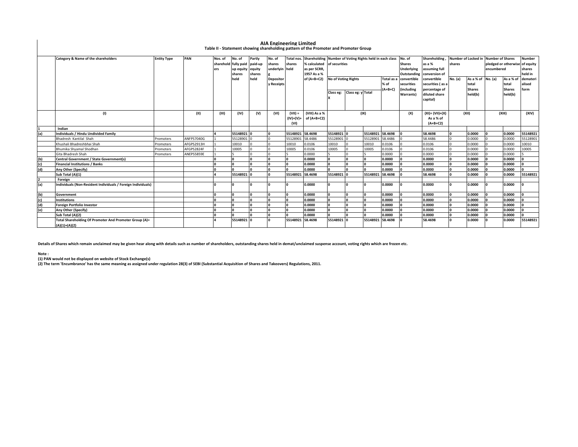|                   | Category & Name of the shareholders                          | <b>Entity Type</b> | PAN        | Nos. of                      | No. of           | Partly | No. of           | Total nos.       | Shareholding Number of Voting Rights held in each class |                             |          |                  |                   | No. of        | Shareholding,                                    |               | Number of Locked in Number of Shares |                                |           | <b>Number</b> |
|-------------------|--------------------------------------------------------------|--------------------|------------|------------------------------|------------------|--------|------------------|------------------|---------------------------------------------------------|-----------------------------|----------|------------------|-------------------|---------------|--------------------------------------------------|---------------|--------------------------------------|--------------------------------|-----------|---------------|
|                   |                                                              |                    |            | sharehold fully paid paid-up |                  |        | shares           | shares           | % calculated                                            | of securities               |          |                  |                   | <b>Shares</b> | as a %                                           | shares        |                                      | pledged or otherwise of equity |           |               |
|                   |                                                              |                    |            | ers                          | up equity equity |        | underlyin held   |                  | as per SCRR,                                            |                             |          |                  |                   | Underlying    | assuming full                                    |               |                                      | encumbered                     |           | shares        |
|                   |                                                              |                    |            |                              | shares           | shares | <b>Depositor</b> |                  | 1957 As a %                                             |                             |          |                  |                   | Outstanding   | conversion of                                    |               |                                      |                                |           | held in       |
|                   |                                                              |                    |            |                              | held             | held   |                  |                  | of $(A+B+C2)$                                           | <b>No of Voting Rights</b>  |          |                  | Total as a        | convertible   | convertible<br>securities (as a<br>percentage of | No. (a)       | As a % of No. (a)                    |                                | As a % of | demateri      |
|                   |                                                              |                    |            |                              |                  |        | y Receipts       |                  |                                                         |                             |          |                  | % of<br>$(A+B+C)$ | securities    |                                                  |               | total                                |                                | total     | alised        |
|                   |                                                              |                    |            |                              |                  |        |                  |                  |                                                         | Class eg: Class eg: y Total |          | including        |                   |               |                                                  | <b>Shares</b> |                                      | <b>Shares</b>                  | form      |               |
|                   |                                                              |                    |            |                              |                  |        |                  |                  |                                                         |                             |          |                  |                   | Warrants)     | diluted share                                    |               | held(b)                              |                                | held(b)   |               |
|                   |                                                              |                    |            |                              |                  |        |                  |                  |                                                         |                             |          |                  |                   |               | capital)                                         |               |                                      |                                |           |               |
|                   |                                                              |                    |            |                              |                  |        |                  |                  |                                                         |                             |          |                  |                   |               |                                                  |               |                                      |                                |           |               |
|                   | (1)                                                          |                    | (II)       | (III)                        | (IV)             | (V)    | (VI)             | $(VII) =$        | (VIII) As a %                                           |                             | (IX)     |                  |                   | (X)           | $(XI) = (VII)+(X)$                               |               | (XII)                                |                                |           | (XIV)         |
|                   |                                                              |                    |            |                              |                  |        |                  |                  | $(IV)+(V)+$ of $(A+B+C2)$                               |                             |          |                  |                   |               | As a % of                                        |               |                                      | (XIII)                         |           |               |
|                   |                                                              |                    |            |                              |                  |        |                  | (VI)             |                                                         |                             |          |                  |                   |               | $(A+B+C2)$                                       |               |                                      |                                |           |               |
|                   | Indian                                                       |                    |            |                              |                  |        |                  |                  |                                                         |                             |          |                  |                   |               |                                                  |               |                                      |                                |           |               |
| (a)               | Individuals / Hindu Undivided Family                         |                    |            |                              | 55148921 0       |        |                  | 55148921 58.4698 |                                                         | 55148921                    |          | 55148921 58.4698 |                   |               | 58.4698                                          | I٥            | 0.0000                               |                                | 0.0000    | 55148921      |
|                   | Bhadresh Kantilal Shah                                       | Promoters          | ANFPS7040G |                              | 55128901         |        |                  | 55128901         | 58.4486                                                 | 55128901                    |          | 55128901         | 58.4486           |               | 58.4486                                          | 0             | 0.0000                               |                                | 0.0000    | 55128901      |
|                   | Khushali Bhadreshbhai Shah                                   | Promoters          | AFGPS2913H |                              | 10010            |        |                  | 10010            | 0.0106                                                  | 10010                       |          | 10010            | 0.0106            |               | 0.0106                                           | 0             | 0.0000                               |                                | 0.0000    | 10010         |
|                   | Bhumika Shvamal Shodhan                                      | Promoters          | AFGPS2824F |                              | 10005            |        |                  | 10005            | 0.0106                                                  | 10005                       |          | 10005            | 0.0106            |               | 0.0106                                           | $\Omega$      | 0.0000                               |                                | 0.0000    | 10005         |
|                   | Gita Bhadresh Shah                                           | Promoters          | ANEPS5859E |                              |                  |        |                  |                  | 0.0000                                                  |                             |          |                  | 0.0000            |               | 0.0000                                           | $\Omega$      | 0.0000                               |                                | 0.0000    |               |
| (b)               | Central Government / State Government(s)                     |                    |            |                              |                  |        |                  |                  | 0.0000                                                  |                             | I۵       |                  | 0.0000            |               | 0.0000                                           | o             | 0.0000                               |                                | 0.0000    |               |
| (c)               | <b>Financial Institutions / Banks</b>                        |                    |            |                              |                  |        |                  |                  | 0.0000                                                  |                             | I۵       |                  | 0.0000            |               | 0.0000                                           | lo.           | 0.0000                               |                                | 0.0000    |               |
| (d)               | Any Other (Specify)                                          |                    |            |                              |                  |        |                  |                  | 0.0000                                                  |                             |          |                  | 0.0000            |               | 0.0000                                           | O             | 0.0000                               |                                | 0.0000    |               |
|                   | Sub Total (A)(1)                                             |                    |            |                              | 55148921 0       |        |                  | 55148921         | 58.4698                                                 | 55148921                    |          | 55148921         | 58.4698           |               | 58.4698                                          | 0             | 0.0000                               |                                | 0.0000    | 55148921      |
|                   | Foreign                                                      |                    |            |                              |                  |        |                  |                  |                                                         |                             |          |                  |                   |               |                                                  |               |                                      |                                |           |               |
| (a)               | Individuals (Non-Resident Individuals / Foreign Individuals) |                    |            | ın                           |                  |        |                  |                  | 0.0000                                                  |                             | $\Omega$ | n                | 0.0000            |               | 0.0000                                           | I٥            | 0.0000                               |                                | 0.0000    |               |
|                   |                                                              |                    |            |                              |                  |        |                  |                  |                                                         |                             |          |                  |                   |               |                                                  |               |                                      |                                |           |               |
| (b)               | Government                                                   |                    |            |                              |                  |        |                  |                  | 0.0000                                                  |                             | ١o       | n                | 0.0000            |               | 0.0000                                           | lo.           | 0.0000                               |                                | 0.0000    |               |
|                   | <b>Institutions</b>                                          |                    |            |                              |                  |        |                  |                  | 0.0000                                                  |                             | l n      |                  | 0.0000            |               | 0.0000                                           | 0             | 0.0000                               |                                | 0.0000    |               |
|                   | <b>Foreign Portfolio Investor</b>                            |                    |            |                              |                  |        |                  |                  | 0.0000                                                  |                             | l n      |                  | 0.0000            |               | 0.0000                                           | O             | 0.0000                               |                                | 0.0000    |               |
| (c)<br>(d)<br>(e) | Any Other (Specify)                                          |                    |            |                              |                  |        |                  |                  | 0.0000                                                  |                             | l n      |                  | 0.0000            |               | 0.0000                                           | I٥            | 0.0000                               |                                | 0.0000    |               |
|                   | Sub Total (A)(2)                                             |                    |            |                              |                  |        |                  |                  | 0.0000                                                  |                             |          |                  | 0.0000            |               | 0.0000                                           | I٥            | 0.0000                               |                                | 0.0000    |               |
|                   | Total Shareholding Of Promoter And Promoter Group (A)=       |                    |            |                              | 55148921 0       |        |                  | 55148921 58.4698 |                                                         | 55148921 0                  |          | 55148921 58.4698 |                   |               | 58.4698                                          | 0             | 0.0000                               |                                | 0.0000    | 55148921      |
|                   | $(A)(1)+(A)(2)$                                              |                    |            |                              |                  |        |                  |                  |                                                         |                             |          |                  |                   |               |                                                  |               |                                      |                                |           |               |

**AIA Engineering Limited Table II - Statement showing shareholding pattern of the Promoter and Promoter Group**

**Details of Shares which remain unclaimed may be given hear along with details such as number of shareholders, outstanding shares held in demat/unclaimed suspense account, voting rights which are frozen etc.**

**Note :**

(1) PAN would not be displayed on website of Stock Exchange(s)<br>(2) The term 'Encumbrance' has the same meaning as assigned under regulation 28(3) of SEBI (Substantial Acquisition of Shares and Takeovers) Regulations, 2011.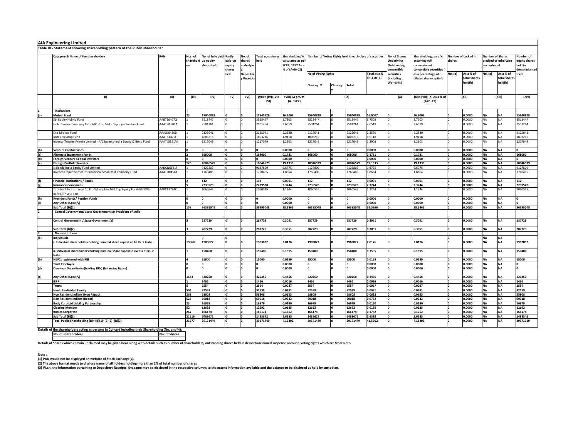|     | <b>AIA Engineering Limited</b>                                                             |            |                             |                                                      |                             |                                                          |                                  |                                                                                |                                                          |           |              |                            |                                                                  |                                                                                  |          |                                      |                                                               |                                      |                                                        |
|-----|--------------------------------------------------------------------------------------------|------------|-----------------------------|------------------------------------------------------|-----------------------------|----------------------------------------------------------|----------------------------------|--------------------------------------------------------------------------------|----------------------------------------------------------|-----------|--------------|----------------------------|------------------------------------------------------------------|----------------------------------------------------------------------------------|----------|--------------------------------------|---------------------------------------------------------------|--------------------------------------|--------------------------------------------------------|
|     | Table III - Statement showing shareholding pattern of the Public shareholder               |            |                             |                                                      |                             |                                                          |                                  |                                                                                |                                                          |           |              |                            |                                                                  |                                                                                  |          |                                      |                                                               |                                      |                                                        |
|     | Category & Name of the shareholders                                                        |            | Nos. of<br>sharehold<br>ers | No. of fully paid Partly<br>up equity<br>shares held | paid-up<br>equity<br>shares | No. of<br>shares<br>underlyin<br>Depositor<br>y Receipts | <b>Total nos. shares</b><br>held | Shareholding %<br>calculated as per<br><b>SCRR, 1957 As a</b><br>% of (A+B+C2) | Number of Voting Rights held in each class of securities |           |              |                            | No. of Shares<br><b>Underlying</b><br>Outstanding<br>convertible | Shareholding, as a %<br>assuming full<br>conversion of<br>convertible securities | shares   | <b>Number of Locked in</b>           | <b>Number of Shares</b><br>pledged or otherwise<br>encumbered |                                      | Number of<br>equity shares<br>eld in<br>lematerialised |
|     |                                                                                            |            |                             |                                                      | held                        |                                                          |                                  |                                                                                | No of Voting Rights                                      |           |              | Total as a %<br>of (A+B+C) | securities<br>(including                                         | as a percentage of<br>diluted share capital)                                     | No. (a)  | As a % of<br>total Shares<br>held(b) | No. (a)                                                       | As a % of<br>total Shares<br>held(b) | form                                                   |
|     |                                                                                            |            |                             |                                                      |                             |                                                          |                                  |                                                                                | Class eg: X                                              | Class eg: | <b>Total</b> |                            | Warrants)                                                        |                                                                                  |          |                                      |                                                               |                                      |                                                        |
|     | (1)                                                                                        | (II)       | (III)                       | (IV)                                                 | (V)                         | (VI)                                                     | $(VII) = (IV)+(V)+$<br>(VI)      | (VIII) As a % of<br>$(A+B+C2)$                                                 |                                                          |           | (IX)         |                            | (X)                                                              | (XI)= (VII)+(X) As a % of<br>$(A+B+C2)$                                          |          | (XII)                                |                                                               | (XIII)                               | (XIV)                                                  |
|     | Institutions                                                                               |            |                             |                                                      |                             |                                                          |                                  |                                                                                |                                                          |           |              |                            |                                                                  |                                                                                  |          |                                      |                                                               |                                      |                                                        |
| (a) | <b>Mutual Fund</b>                                                                         |            | 23                          | 15940829                                             |                             | ١o                                                       | 15940829                         | 16.9007                                                                        | 15940829                                                 |           | 15940829     | 16.9007                    |                                                                  | 16.9007                                                                          |          | 0.0000                               | <b>NA</b>                                                     | <b>NA</b>                            | 15940829                                               |
|     | Sbi Equity Hybrid Fund                                                                     | AABTS6407Q |                             | 3518447                                              |                             |                                                          | 3518447                          | 3.7303                                                                         | 3518447                                                  |           | 3518447      | 3.7303                     |                                                                  | 3.7303                                                                           |          | 0,000.                               | <b>NA</b>                                                     | <b>NA</b>                            | 3518447                                                |
|     | Hdfc Trustee Company Ltd - A/C Hdfc Mid - Capopportunities Fund                            | AAATH1809A |                             | 2501264                                              |                             |                                                          | 2501264                          | 2.6519                                                                         | 2501264                                                  |           | 2501264      | 2.6519                     |                                                                  | 2.6519                                                                           |          | 0.0000                               | <b>NA</b>                                                     | <b>NA</b>                            | 2501264                                                |
|     | Dsp Midcap Fund                                                                            | AAAJD0430B |                             | 2125041                                              |                             |                                                          | 2125041                          | 2.2530                                                                         | 2125041                                                  |           | 2125041      | 2.2530                     |                                                                  | 2.2530                                                                           |          | 0.0000                               | <b>NA</b>                                                     | NA                                   | 2125041                                                |
|     | Kotak Flexicap Fund                                                                        | AAATK4475F |                             | 1803216                                              |                             | I٥                                                       | 1803216                          | 1.9118                                                                         | 1803216                                                  | I٥.       | 1803216      | 1.9118                     |                                                                  | 1.9118                                                                           |          | 0.0000                               | <b>NA</b>                                                     | <b>NA</b>                            | 1803216                                                |
|     | Invesco Trustee Private Limited - A/C Invesco India Equity & Bond Fund                     | AAATL5351M |                             | 1217049                                              |                             | I٥                                                       | 1217049                          | 1.2903                                                                         | 1217049                                                  | I٥        | 1217049      | 1.2903                     |                                                                  | 1.2903                                                                           |          | 0.0000                               | <b>NA</b>                                                     | NA                                   | 1217049                                                |
| (b) | <b>Venture Capital Funds</b>                                                               |            |                             |                                                      | ١n                          | ١n                                                       |                                  | 0.0000                                                                         |                                                          | ١n        |              | 0.0000                     |                                                                  | 0.0000                                                                           |          | 0.0000                               | <b>NA</b>                                                     | <b>NA</b>                            | $\Omega$                                               |
| (c) | <b>Alternate Investment Funds</b>                                                          |            |                             | 168000                                               |                             | ١o                                                       | 168000                           | 0.1781                                                                         | 168000                                                   | l٥        | 168000       | 0.1781                     |                                                                  | 0.1781                                                                           |          | 0.0000                               | <b>NA</b>                                                     | <b>NA</b>                            | 168000                                                 |
| (d) | <b>Foreign Venture Capital Investors</b>                                                   |            |                             |                                                      |                             | ١o                                                       |                                  | 0.0000                                                                         |                                                          |           |              | 0.0000                     |                                                                  | 0.0000                                                                           |          | 0.0000                               | <b>NA</b>                                                     | <b>NA</b>                            |                                                        |
| (e) | <b>Foreign Portfolio Investor</b>                                                          |            | 126                         | 18046579                                             |                             | ١n                                                       | 18046579                         | 19.1333                                                                        | 18046579                                                 | ١o        | 18046579     | 19.1333                    |                                                                  | 19.1333                                                                          |          | 0.0000                               | <b>NA</b>                                                     | <b>NA</b>                            | 18046579                                               |
|     | Nalanda India Equity Fund Limited                                                          | AADCN6131F |                             | 9127809                                              |                             |                                                          | 9127809                          | 9.6775                                                                         | 9127809                                                  |           | 9127809      | 9.6775                     |                                                                  | 9.6775                                                                           |          | 0.0000                               | <b>NA</b>                                                     | NA                                   | 9127809                                                |
|     | Invesco Oppenheimer International Small-Mid Company Fund                                   | AAATO0456A |                             | 1760405                                              |                             |                                                          | 1760405                          | 1.8664                                                                         | 1760405                                                  | In.       | 1760405      | 1.8664                     |                                                                  | 1.8664                                                                           |          | 0.0000                               | <b>NA</b>                                                     | <b>NA</b>                            | 1760405                                                |
| (f) | <b>Financial Institutions / Banks</b>                                                      |            |                             | 112                                                  |                             | n                                                        | 112                              | 0.0001                                                                         | 112                                                      | In        | 112          | 0.0001                     |                                                                  | 0.0001                                                                           |          | 0.0000                               | <b>NA</b>                                                     | <b>NA</b>                            | 112                                                    |
| (g) | <b>Insurance Companies</b>                                                                 |            |                             | 2239528                                              |                             | ١n                                                       | 2239528                          | 2.3744                                                                         | 2239528                                                  | ١o        | 2239528      | 2.3744                     |                                                                  | 2.3744                                                                           |          | 0.0000                               | <b>NA</b>                                                     | <b>NA</b>                            | 2239528                                                |
|     | Tata Aia Life Insurance Co Ltd-Whole Life Mid Cap Equity Fund-Ulif 009<br>04/01/07 Wle 110 | AABCT3784C |                             | 1060545                                              |                             |                                                          | 1060545                          | 1.1244                                                                         | 1060545                                                  |           | 1060545      | 1.1244                     |                                                                  | 1.1244                                                                           |          | 0.0000                               | <b>NA</b>                                                     | <b>NA</b>                            | 1060545                                                |
| (h) | <b>Provident Funds/ Pension Funds</b>                                                      |            |                             |                                                      |                             |                                                          |                                  | 0.0000                                                                         |                                                          |           |              | 0.0000                     |                                                                  | 0.0000                                                                           |          | 0.0000                               | <b>NA</b>                                                     | <b>NA</b>                            | ١o                                                     |
| (i) | Any Other (Specify)                                                                        |            |                             |                                                      |                             |                                                          |                                  | 0.0000                                                                         |                                                          |           |              | 0.0000                     |                                                                  | 0.0000                                                                           |          | 0.0000                               | <b>NA</b>                                                     | <b>NA</b>                            |                                                        |
|     | Sub Total (B)(1)                                                                           |            | 158                         | 36395048                                             |                             |                                                          | 36395048                         | 38.5866                                                                        | 36395048                                                 |           | 36395048     | 38.5866                    |                                                                  | 38.5866                                                                          |          | 0.0000                               | <b>NA</b>                                                     | NA                                   | 36395048                                               |
|     | Central Government/ State Government(s)/ President of India                                |            |                             |                                                      |                             |                                                          |                                  |                                                                                |                                                          |           |              |                            |                                                                  |                                                                                  |          |                                      |                                                               |                                      |                                                        |
|     | Central Government / State Government(s)                                                   |            |                             | 287729                                               |                             | ۱n                                                       | 287729                           | 0.3051                                                                         | 287729                                                   | I٥        | 287729       | 0.3051                     |                                                                  | 0.3051                                                                           |          | 0.0000                               | <b>NA</b>                                                     | <b>NA</b>                            | 287729                                                 |
|     | Sub Total (B)(2)                                                                           |            |                             | 287729                                               |                             |                                                          | 287729                           | 0.3051                                                                         | 287729                                                   | I٥        | 287729       | 0.3051                     |                                                                  | 0.3051                                                                           | $\Omega$ | 0.0000                               | <b>NA</b>                                                     | <b>NA</b>                            | 287729                                                 |
|     | <b>Non-Institutions</b>                                                                    |            |                             |                                                      |                             |                                                          |                                  |                                                                                |                                                          |           |              |                            |                                                                  |                                                                                  |          |                                      |                                                               |                                      |                                                        |
| (a) | Individuals                                                                                |            |                             |                                                      |                             |                                                          |                                  |                                                                                |                                                          |           |              |                            |                                                                  |                                                                                  |          |                                      | NA                                                            | <b>NA</b>                            |                                                        |
|     | i. Individual shareholders holding nominal share capital up to Rs. 2 lakhs.                |            | 19868                       | 1903022                                              |                             |                                                          | 1903022                          | 2.0176                                                                         | 1903022                                                  | I٥        | 1903022      | 2.0176                     |                                                                  | 2.0176                                                                           |          | 0.0000                               | <b>NA</b>                                                     | <b>NA</b>                            | 1902892                                                |
|     | ii. Individual shareholders holding nominal share capital in excess of Rs. 2<br>lakhs      |            |                             | 150400                                               | ١n                          |                                                          | 150400                           | 0.1595                                                                         | 150400                                                   | ١o        | 150400       | 0.1595                     |                                                                  | 0.1595                                                                           |          | 0.0000                               | <b>NA</b>                                                     | <b>NA</b>                            | 150400                                                 |
| (b) | <b>NBFCs registered with RBI</b>                                                           |            | $\overline{a}$              | 15000                                                | I٥                          |                                                          | 15000                            | 0.0159                                                                         | 15000                                                    | ١o        | 15000        | 0.0159                     |                                                                  | 0.0159                                                                           | $\Omega$ | 0.0000                               | <b>NA</b>                                                     | <b>NA</b>                            | 15000                                                  |
|     | <b>Trust Employee</b>                                                                      |            | n                           |                                                      | ln.                         | In.                                                      |                                  | 0.0000                                                                         |                                                          | ١o        |              | 0.0000                     |                                                                  | 0.0000                                                                           | $\Omega$ | 0.0000                               | <b>NA</b>                                                     | <b>NA</b>                            | $\overline{0}$                                         |
| (d) | <b>Overseas Depositories(holding DRs) (balancing figure)</b>                               |            |                             |                                                      | ١n                          |                                                          |                                  | 0.0000                                                                         | ١o                                                       | I٥        |              | 0.0000                     |                                                                  | 0.0000                                                                           | ١n       | 0.0000                               | <b>NA</b>                                                     | <b>NA</b>                            | $\Omega$                                               |
| (c) | Any Other (Specify)                                                                        |            | 1643                        | 420250                                               |                             |                                                          | 420250                           | 0.4456                                                                         | 420250                                                   | l o       | 420250       | 0.4456                     |                                                                  | 0.4456                                                                           |          | 0.0000                               | <b>NA</b>                                                     | <b>NA</b>                            | 420250                                                 |
|     | <b>IEPF</b>                                                                                |            |                             | 1466                                                 |                             |                                                          | 1466                             | 0.0016                                                                         | 1466                                                     | l n       | 1466         | 0.0016                     |                                                                  | 0.0016                                                                           |          | 0.0000                               | <b>NA</b>                                                     | <b>NA</b>                            | 1466                                                   |
|     | <b>Trusts</b>                                                                              |            |                             | 2554                                                 |                             |                                                          | 2554                             | 0.0027                                                                         | 2554                                                     | ١o        | 2554         | 0.0027                     |                                                                  | 0.0027                                                                           |          | 0.0000                               | <b>NA</b>                                                     | <b>NA</b>                            | 2554                                                   |
|     | <b>Hindu Undivided Family</b>                                                              |            | 504                         | 92559                                                |                             |                                                          | 92559                            | 0.0981                                                                         | 92559                                                    | ١o        | 92559        | 0.0981                     |                                                                  | 0.0981                                                                           |          | 0.0000                               | <b>NA</b>                                                     | <b>NA</b>                            | 92559                                                  |
|     | Non Resident Indians (Non Repat)                                                           |            | 268                         | 58808                                                |                             |                                                          | 58808                            | 0.0623                                                                         | 58808                                                    | l٥        | 58808        | 0.0623                     |                                                                  | 0.0623                                                                           |          | 0.0000                               | <b>NA</b>                                                     | <b>NA</b>                            | 58808                                                  |
|     | Non Resident Indians (Repat)                                                               |            | 523                         | 69018                                                |                             |                                                          | 69018                            | 0.0732                                                                         | 69018                                                    | In        | 69018        | 0.0732                     |                                                                  | 0.0732                                                                           |          | 0.0000                               | <b>NA</b>                                                     | <b>NA</b>                            | 69018                                                  |
|     | <b>Body Corp-Ltd Liability Partnership</b>                                                 |            | 23                          | 16979                                                |                             |                                                          | 16979                            | 0.0180                                                                         | 16979                                                    |           | 16979        | 0.0180                     |                                                                  | 0.0180                                                                           |          | 0.0000                               | <b>NA</b>                                                     | <b>NA</b>                            | 16979                                                  |
|     | <b>Clearing Member</b>                                                                     |            | 52                          | 12692                                                | n                           | ١o                                                       | 12692                            | 0.0135                                                                         | 12692                                                    | ١o        | 12692        | 0.0135                     |                                                                  | 0.0135                                                                           |          | 0.0000                               | <b>NA</b>                                                     | <b>NA</b>                            | 12692                                                  |
|     | <b>Bodies Corporate</b>                                                                    |            | 267                         | 166174                                               | ١n                          | ١n                                                       | 166174                           | 0.1762                                                                         | 166174                                                   | ۱n        | 166174       | 0.1762                     | ١o                                                               | 0.1762                                                                           | l٥       | 0.0000                               | <b>NA</b>                                                     | <b>NA</b>                            | 166174                                                 |
|     | Sub Total (B)(3)                                                                           |            | 21516                       | 2488672                                              |                             |                                                          | 2488672                          | 2.6385                                                                         | 2488672                                                  |           | 2488672      | 2.6385                     |                                                                  | 2.6385                                                                           |          | 0.0000                               | <b>NA</b>                                                     | NA                                   | 2488542                                                |
|     | Total Public Shareholding (B)= (B)(1)+(B)(2)+(B)(3)                                        |            | 21677                       | 39171449                                             |                             |                                                          | 39171449                         | 41.5302                                                                        | 39171449                                                 | ۱n        | 39171449     | 41.5302                    |                                                                  | 41.5302                                                                          |          | 0.0000                               | <b>NA</b>                                                     | <b>NA</b>                            | 39171319                                               |

**Details of the shareholders acting as persons in Concert including their Shareholding (No. and %): No. of shareholders No. of Shares**

Details of Shares which remain unclaimed may be given hear along with details such as number of shareholders, outstanding shares held in demat/unclaimed suspense account, voting rights which are frozen etc.

**Note :**

**(1) PAN would not be displayed on website of Stock Exchange(s).** 

(2) The above format needs to disclose name of all holders holding more than 1% of total number of shares<br>(3) W.r.t. the information pertaining to Depository Receipts, the same may be disclosed in the respective columns to